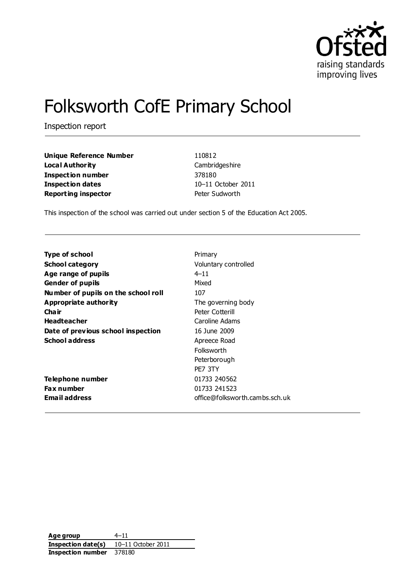

# Folksworth CofE Primary School

Inspection report

**Unique Reference Number** 110812 **Local Authority** Cambridgeshire **Inspection number** 378180 **Inspection dates** 10–11 October 2011 **Reporting inspector Peter Sudworth** 

This inspection of the school was carried out under section 5 of the Education Act 2005.

| Type of school                      | Primary                        |
|-------------------------------------|--------------------------------|
| <b>School category</b>              | Voluntary controlled           |
| Age range of pupils                 | $4 - 11$                       |
| <b>Gender of pupils</b>             | Mixed                          |
| Number of pupils on the school roll | 107                            |
| Appropriate authority               | The governing body             |
| Cha ir                              | Peter Cotterill                |
| <b>Headteacher</b>                  | Caroline Adams                 |
| Date of previous school inspection  | 16 June 2009                   |
| <b>School address</b>               | Apreece Road                   |
|                                     | Folksworth                     |
|                                     | Peterborough                   |
|                                     | PE7 3TY                        |
| Telephone number                    | 01733 240562                   |
| <b>Fax number</b>                   | 01733 241523                   |
| <b>Email address</b>                | office@folksworth.cambs.sch.uk |
|                                     |                                |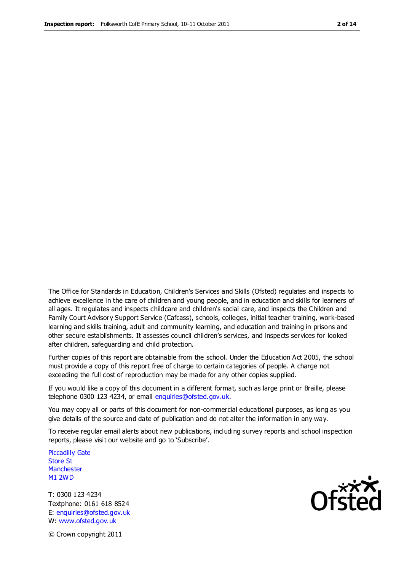The Office for Standards in Education, Children's Services and Skills (Ofsted) regulates and inspects to achieve excellence in the care of children and young people, and in education and skills for learners of all ages. It regulates and inspects childcare and children's social care, and inspects the Children and Family Court Advisory Support Service (Cafcass), schools, colleges, initial teacher training, work-based learning and skills training, adult and community learning, and education and training in prisons and other secure establishments. It assesses council children's services, and inspects services for looked after children, safeguarding and child protection.

Further copies of this report are obtainable from the school. Under the Education Act 2005, the school must provide a copy of this report free of charge to certain categories of people. A charge not exceeding the full cost of reproduction may be made for any other copies supplied.

If you would like a copy of this document in a different format, such as large print or Braille, please telephone 0300 123 4234, or email enquiries@ofsted.gov.uk.

You may copy all or parts of this document for non-commercial educational purposes, as long as you give details of the source and date of publication and do not alter the information in any way.

To receive regular email alerts about new publications, including survey reports and school inspection reports, please visit our website and go to 'Subscribe'.

Piccadilly Gate Store St **Manchester** M1 2WD

T: 0300 123 4234 Textphone: 0161 618 8524 E: enquiries@ofsted.gov.uk W: www.ofsted.gov.uk

**Ofcted** 

© Crown copyright 2011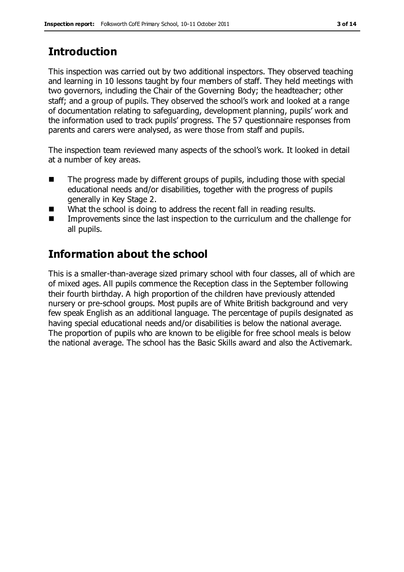# **Introduction**

This inspection was carried out by two additional inspectors. They observed teaching and learning in 10 lessons taught by four members of staff. They held meetings with two governors, including the Chair of the Governing Body; the headteacher; other staff; and a group of pupils. They observed the school's work and looked at a range of documentation relating to safeguarding, development planning, pupils' work and the information used to track pupils' progress. The 57 questionnaire responses from parents and carers were analysed, as were those from staff and pupils.

The inspection team reviewed many aspects of the school's work. It looked in detail at a number of key areas.

- The progress made by different groups of pupils, including those with special educational needs and/or disabilities, together with the progress of pupils generally in Key Stage 2.
- What the school is doing to address the recent fall in reading results.
- **IMPROVEMENTS** Since the last inspection to the curriculum and the challenge for all pupils.

# **Information about the school**

This is a smaller-than-average sized primary school with four classes, all of which are of mixed ages. All pupils commence the Reception class in the September following their fourth birthday. A high proportion of the children have previously attended nursery or pre-school groups. Most pupils are of White British background and very few speak English as an additional language. The percentage of pupils designated as having special educational needs and/or disabilities is below the national average. The proportion of pupils who are known to be eligible for free school meals is below the national average. The school has the Basic Skills award and also the Activemark.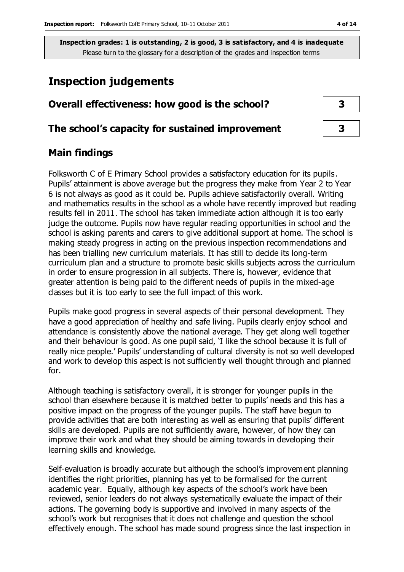# **Inspection judgements**

| Overall effectiveness: how good is the school?  |  |  |
|-------------------------------------------------|--|--|
| The school's capacity for sustained improvement |  |  |

## **Main findings**

Folksworth C of E Primary School provides a satisfactory education for its pupils. Pupils' attainment is above average but the progress they make from Year 2 to Year 6 is not always as good as it could be. Pupils achieve satisfactorily overall. Writing and mathematics results in the school as a whole have recently improved but reading results fell in 2011. The school has taken immediate action although it is too early judge the outcome. Pupils now have regular reading opportunities in school and the school is asking parents and carers to give additional support at home. The school is making steady progress in acting on the previous inspection recommendations and has been trialling new curriculum materials. It has still to decide its long-term curriculum plan and a structure to promote basic skills subjects across the curriculum in order to ensure progression in all subjects. There is, however, evidence that greater attention is being paid to the different needs of pupils in the mixed-age classes but it is too early to see the full impact of this work.

Pupils make good progress in several aspects of their personal development. They have a good appreciation of healthy and safe living. Pupils clearly enjoy school and attendance is consistently above the national average. They get along well together and their behaviour is good. As one pupil said, 'I like the school because it is full of really nice people.' Pupils' understanding of cultural diversity is not so well developed and work to develop this aspect is not sufficiently well thought through and planned for.

Although teaching is satisfactory overall, it is stronger for younger pupils in the school than elsewhere because it is matched better to pupils' needs and this has a positive impact on the progress of the younger pupils. The staff have begun to provide activities that are both interesting as well as ensuring that pupils' different skills are developed. Pupils are not sufficiently aware, however, of how they can improve their work and what they should be aiming towards in developing their learning skills and knowledge.

Self-evaluation is broadly accurate but although the school's improvement planning identifies the right priorities, planning has yet to be formalised for the current academic year. Equally, although key aspects of the school's work have been reviewed, senior leaders do not always systematically evaluate the impact of their actions. The governing body is supportive and involved in many aspects of the school's work but recognises that it does not challenge and question the school effectively enough. The school has made sound progress since the last inspection in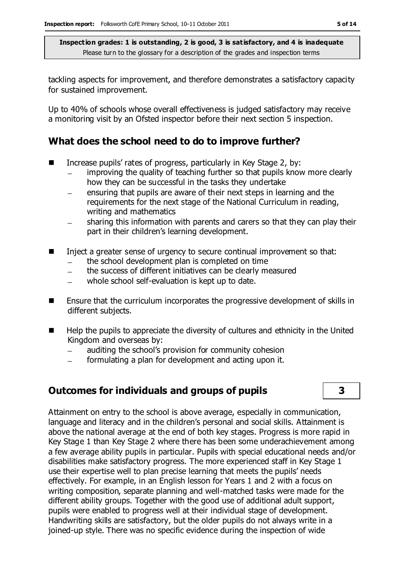tackling aspects for improvement, and therefore demonstrates a satisfactory capacity for sustained improvement.

Up to 40% of schools whose overall effectiveness is judged satisfactory may receive a monitoring visit by an Ofsted inspector before their next section 5 inspection.

## **What does the school need to do to improve further?**

- Increase pupils' rates of progress, particularly in Key Stage 2, by:
	- improving the quality of teaching further so that pupils know more clearly  $\equiv$ how they can be successful in the tasks they undertake
	- ensuring that pupils are aware of their next steps in learning and the requirements for the next stage of the National Curriculum in reading, writing and mathematics
	- sharing this information with parents and carers so that they can play their part in their children's learning development.
- Inject a greater sense of urgency to secure continual improvement so that:
	- the school development plan is completed on time  $\equiv$
	- the success of different initiatives can be clearly measured  $\equiv$
	- whole school self-evaluation is kept up to date.
- Ensure that the curriculum incorporates the progressive development of skills in different subjects.
- $\blacksquare$  Help the pupils to appreciate the diversity of cultures and ethnicity in the United Kingdom and overseas by:
	- auditing the school's provision for community cohesion
	- formulating a plan for development and acting upon it.  $\frac{1}{2}$

# **Outcomes for individuals and groups of pupils 3**

Attainment on entry to the school is above average, especially in communication, language and literacy and in the children's personal and social skills. Attainment is above the national average at the end of both key stages. Progress is more rapid in Key Stage 1 than Key Stage 2 where there has been some underachievement among a few average ability pupils in particular. Pupils with special educational needs and/or disabilities make satisfactory progress. The more experienced staff in Key Stage 1 use their expertise well to plan precise learning that meets the pupils' needs effectively. For example, in an English lesson for Years 1 and 2 with a focus on writing composition, separate planning and well-matched tasks were made for the different ability groups. Together with the good use of additional adult support, pupils were enabled to progress well at their individual stage of development. Handwriting skills are satisfactory, but the older pupils do not always write in a joined-up style. There was no specific evidence during the inspection of wide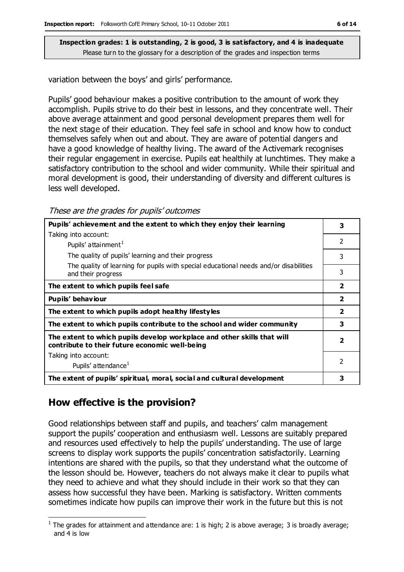variation between the boys' and girls' performance.

Pupils' good behaviour makes a positive contribution to the amount of work they accomplish. Pupils strive to do their best in lessons, and they concentrate well. Their above average attainment and good personal development prepares them well for the next stage of their education. They feel safe in school and know how to conduct themselves safely when out and about. They are aware of potential dangers and have a good knowledge of healthy living. The award of the Activemark recognises their regular engagement in exercise. Pupils eat healthily at lunchtimes. They make a satisfactory contribution to the school and wider community. While their spiritual and moral development is good, their understanding of diversity and different cultures is less well developed.

These are the grades for pupils' outcomes

| Pupils' achievement and the extent to which they enjoy their learning                                                     |                         |
|---------------------------------------------------------------------------------------------------------------------------|-------------------------|
| Taking into account:                                                                                                      |                         |
| Pupils' attainment <sup>1</sup>                                                                                           | $\mathfrak{p}$          |
| The quality of pupils' learning and their progress                                                                        | 3                       |
| The quality of learning for pupils with special educational needs and/or disabilities<br>and their progress               | 3                       |
| The extent to which pupils feel safe                                                                                      | $\overline{\mathbf{2}}$ |
| Pupils' behaviour                                                                                                         | $\overline{2}$          |
| The extent to which pupils adopt healthy lifestyles                                                                       | $\overline{2}$          |
| The extent to which pupils contribute to the school and wider community                                                   | 3                       |
| The extent to which pupils develop workplace and other skills that will<br>contribute to their future economic well-being | $\overline{\mathbf{2}}$ |
| Taking into account:                                                                                                      |                         |
| Pupils' attendance <sup>1</sup>                                                                                           | $\overline{2}$          |
| The extent of pupils' spiritual, moral, social and cultural development                                                   | 3                       |

## **How effective is the provision?**

Good relationships between staff and pupils, and teachers' calm management support the pupils' cooperation and enthusiasm well. Lessons are suitably prepared and resources used effectively to help the pupils' understanding. The use of large screens to display work supports the pupils' concentration satisfactorily. Learning intentions are shared with the pupils, so that they understand what the outcome of the lesson should be. However, teachers do not always make it clear to pupils what they need to achieve and what they should include in their work so that they can assess how successful they have been. Marking is satisfactory. Written comments sometimes indicate how pupils can improve their work in the future but this is not

 $\overline{a}$ <sup>1</sup> The grades for attainment and attendance are: 1 is high; 2 is above average; 3 is broadly average; and 4 is low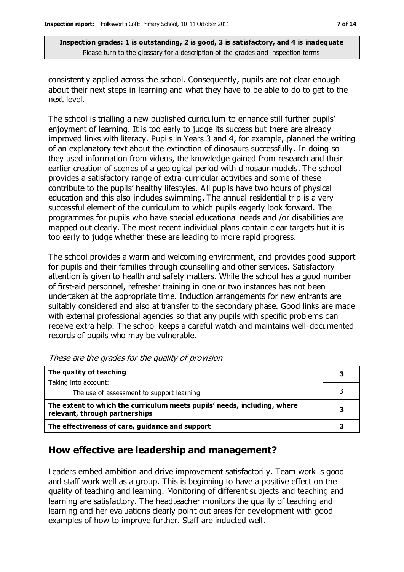consistently applied across the school. Consequently, pupils are not clear enough about their next steps in learning and what they have to be able to do to get to the next level.

The school is trialling a new published curriculum to enhance still further pupils' enjoyment of learning. It is too early to judge its success but there are already improved links with literacy. Pupils in Years 3 and 4, for example, planned the writing of an explanatory text about the extinction of dinosaurs successfully. In doing so they used information from videos, the knowledge gained from research and their earlier creation of scenes of a geological period with dinosaur models. The school provides a satisfactory range of extra-curricular activities and some of these contribute to the pupils' healthy lifestyles. All pupils have two hours of physical education and this also includes swimming. The annual residential trip is a very successful element of the curriculum to which pupils eagerly look forward. The programmes for pupils who have special educational needs and /or disabilities are mapped out clearly. The most recent individual plans contain clear targets but it is too early to judge whether these are leading to more rapid progress.

The school provides a warm and welcoming environment, and provides good support for pupils and their families through counselling and other services. Satisfactory attention is given to health and safety matters. While the school has a good number of first-aid personnel, refresher training in one or two instances has not been undertaken at the appropriate time. Induction arrangements for new entrants are suitably considered and also at transfer to the secondary phase. Good links are made with external professional agencies so that any pupils with specific problems can receive extra help. The school keeps a careful watch and maintains well-documented records of pupils who may be vulnerable.

| The quality of teaching                                                                                    |   |
|------------------------------------------------------------------------------------------------------------|---|
| Taking into account:                                                                                       |   |
| The use of assessment to support learning                                                                  |   |
| The extent to which the curriculum meets pupils' needs, including, where<br>relevant, through partnerships | 3 |
| The effectiveness of care, guidance and support                                                            |   |

These are the grades for the quality of provision

# **How effective are leadership and management?**

Leaders embed ambition and drive improvement satisfactorily. Team work is good and staff work well as a group. This is beginning to have a positive effect on the quality of teaching and learning. Monitoring of different subjects and teaching and learning are satisfactory. The headteacher monitors the quality of teaching and learning and her evaluations clearly point out areas for development with good examples of how to improve further. Staff are inducted well.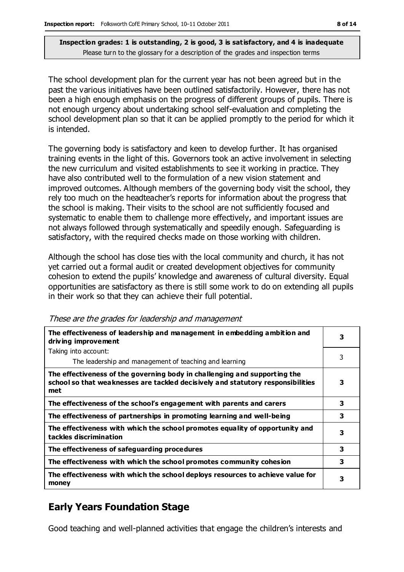The school development plan for the current year has not been agreed but in the past the various initiatives have been outlined satisfactorily. However, there has not been a high enough emphasis on the progress of different groups of pupils. There is not enough urgency about undertaking school self-evaluation and completing the school development plan so that it can be applied promptly to the period for which it is intended.

The governing body is satisfactory and keen to develop further. It has organised training events in the light of this. Governors took an active involvement in selecting the new curriculum and visited establishments to see it working in practice. They have also contributed well to the formulation of a new vision statement and improved outcomes. Although members of the governing body visit the school, they rely too much on the headteacher's reports for information about the progress that the school is making. Their visits to the school are not sufficiently focused and systematic to enable them to challenge more effectively, and important issues are not always followed through systematically and speedily enough. Safeguarding is satisfactory, with the required checks made on those working with children.

Although the school has close ties with the local community and church, it has not yet carried out a formal audit or created development objectives for community cohesion to extend the pupils' knowledge and awareness of cultural diversity. Equal opportunities are satisfactory as there is still some work to do on extending all pupils in their work so that they can achieve their full potential.

| The effectiveness of leadership and management in embedding ambition and<br>driving improvement                                                                     | 3 |
|---------------------------------------------------------------------------------------------------------------------------------------------------------------------|---|
| Taking into account:                                                                                                                                                |   |
| The leadership and management of teaching and learning                                                                                                              | 3 |
| The effectiveness of the governing body in challenging and supporting the<br>school so that weaknesses are tackled decisively and statutory responsibilities<br>met | 3 |
| The effectiveness of the school's engagement with parents and carers                                                                                                | 3 |
| The effectiveness of partnerships in promoting learning and well-being                                                                                              | 3 |
| The effectiveness with which the school promotes equality of opportunity and<br>tackles discrimination                                                              | 3 |
| The effectiveness of safeguarding procedures                                                                                                                        | 3 |
| The effectiveness with which the school promotes community cohesion                                                                                                 | 3 |
| The effectiveness with which the school deploys resources to achieve value for<br>money                                                                             | 3 |

These are the grades for leadership and management

# **Early Years Foundation Stage**

Good teaching and well-planned activities that engage the children's interests and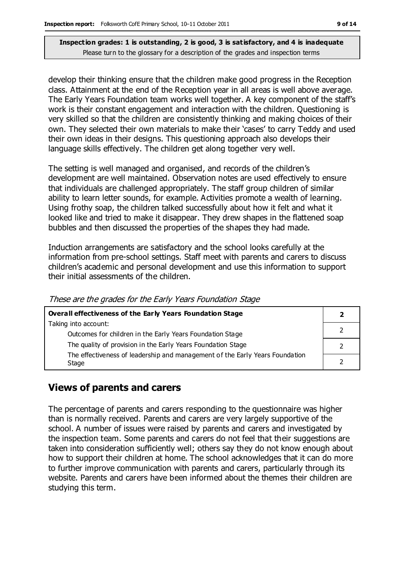develop their thinking ensure that the children make good progress in the Reception class. Attainment at the end of the Reception year in all areas is well above average. The Early Years Foundation team works well together. A key component of the staff's work is their constant engagement and interaction with the children. Questioning is very skilled so that the children are consistently thinking and making choices of their own. They selected their own materials to make their 'cases' to carry Teddy and used their own ideas in their designs. This questioning approach also develops their language skills effectively. The children get along together very well.

The setting is well managed and organised, and records of the children's development are well maintained. Observation notes are used effectively to ensure that individuals are challenged appropriately. The staff group children of similar ability to learn letter sounds, for example. Activities promote a wealth of learning. Using frothy soap, the children talked successfully about how it felt and what it looked like and tried to make it disappear. They drew shapes in the flattened soap bubbles and then discussed the properties of the shapes they had made.

Induction arrangements are satisfactory and the school looks carefully at the information from pre-school settings. Staff meet with parents and carers to discuss children's academic and personal development and use this information to support their initial assessments of the children.

| <b>Overall effectiveness of the Early Years Foundation Stage</b>                      |  |
|---------------------------------------------------------------------------------------|--|
| Taking into account:                                                                  |  |
| Outcomes for children in the Early Years Foundation Stage                             |  |
| The quality of provision in the Early Years Foundation Stage                          |  |
| The effectiveness of leadership and management of the Early Years Foundation<br>Stage |  |

These are the grades for the Early Years Foundation Stage

# **Views of parents and carers**

The percentage of parents and carers responding to the questionnaire was higher than is normally received. Parents and carers are very largely supportive of the school. A number of issues were raised by parents and carers and investigated by the inspection team. Some parents and carers do not feel that their suggestions are taken into consideration sufficiently well; others say they do not know enough about how to support their children at home. The school acknowledges that it can do more to further improve communication with parents and carers, particularly through its website. Parents and carers have been informed about the themes their children are studying this term.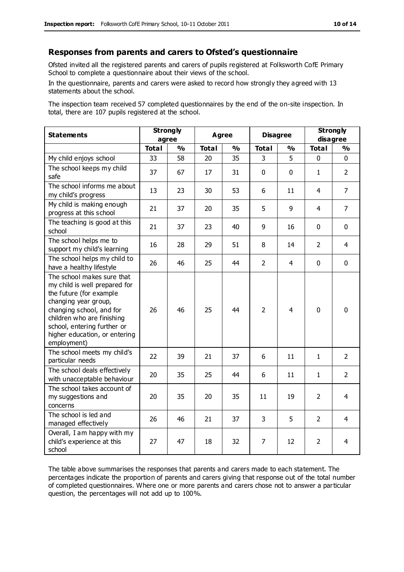#### **Responses from parents and carers to Ofsted's questionnaire**

Ofsted invited all the registered parents and carers of pupils registered at Folksworth CofE Primary School to complete a questionnaire about their views of the school.

In the questionnaire, parents and carers were asked to record how strongly they agreed with 13 statements about the school.

The inspection team received 57 completed questionnaires by the end of the on-site inspection. In total, there are 107 pupils registered at the school.

| <b>Statements</b>                                                                                                                                                                                                                                       | <b>Strongly</b><br>agree |               | <b>Agree</b> |               | <b>Disagree</b> |                | <b>Strongly</b><br>disagree |                |
|---------------------------------------------------------------------------------------------------------------------------------------------------------------------------------------------------------------------------------------------------------|--------------------------|---------------|--------------|---------------|-----------------|----------------|-----------------------------|----------------|
|                                                                                                                                                                                                                                                         | <b>Total</b>             | $\frac{1}{2}$ | <b>Total</b> | $\frac{1}{2}$ | <b>Total</b>    | $\frac{1}{2}$  | <b>Total</b>                | $\frac{1}{2}$  |
| My child enjoys school                                                                                                                                                                                                                                  | 33                       | 58            | 20           | 35            | 3               | 5              | $\mathbf 0$                 | $\mathbf 0$    |
| The school keeps my child<br>safe                                                                                                                                                                                                                       | 37                       | 67            | 17           | 31            | $\mathbf 0$     | $\mathbf 0$    | $\mathbf{1}$                | $\overline{2}$ |
| The school informs me about<br>my child's progress                                                                                                                                                                                                      | 13                       | 23            | 30           | 53            | 6               | 11             | $\overline{4}$              | $\overline{7}$ |
| My child is making enough<br>progress at this school                                                                                                                                                                                                    | 21                       | 37            | 20           | 35            | 5               | 9              | 4                           | $\overline{7}$ |
| The teaching is good at this<br>school                                                                                                                                                                                                                  | 21                       | 37            | 23           | 40            | 9               | 16             | $\mathbf 0$                 | $\mathbf 0$    |
| The school helps me to<br>support my child's learning                                                                                                                                                                                                   | 16                       | 28            | 29           | 51            | 8               | 14             | $\overline{2}$              | 4              |
| The school helps my child to<br>have a healthy lifestyle                                                                                                                                                                                                | 26                       | 46            | 25           | 44            | $\overline{2}$  | $\overline{4}$ | $\mathbf 0$                 | $\mathbf 0$    |
| The school makes sure that<br>my child is well prepared for<br>the future (for example<br>changing year group,<br>changing school, and for<br>children who are finishing<br>school, entering further or<br>higher education, or entering<br>employment) | 26                       | 46            | 25           | 44            | $\overline{2}$  | 4              | $\mathbf{0}$                | $\mathbf 0$    |
| The school meets my child's<br>particular needs                                                                                                                                                                                                         | 22                       | 39            | 21           | 37            | 6               | 11             | $\mathbf{1}$                | $\overline{2}$ |
| The school deals effectively<br>with unacceptable behaviour                                                                                                                                                                                             | 20                       | 35            | 25           | 44            | 6               | 11             | 1                           | $\overline{2}$ |
| The school takes account of<br>my suggestions and<br>concerns                                                                                                                                                                                           | 20                       | 35            | 20           | 35            | 11              | 19             | $\overline{2}$              | 4              |
| The school is led and<br>managed effectively                                                                                                                                                                                                            | 26                       | 46            | 21           | 37            | 3               | 5              | $\overline{2}$              | $\overline{4}$ |
| Overall, I am happy with my<br>child's experience at this<br>school                                                                                                                                                                                     | 27                       | 47            | 18           | 32            | 7               | 12             | $\overline{2}$              | 4              |

The table above summarises the responses that parents and carers made to each statement. The percentages indicate the proportion of parents and carers giving that response out of the total number of completed questionnaires. Where one or more parents and carers chose not to answer a particular question, the percentages will not add up to 100%.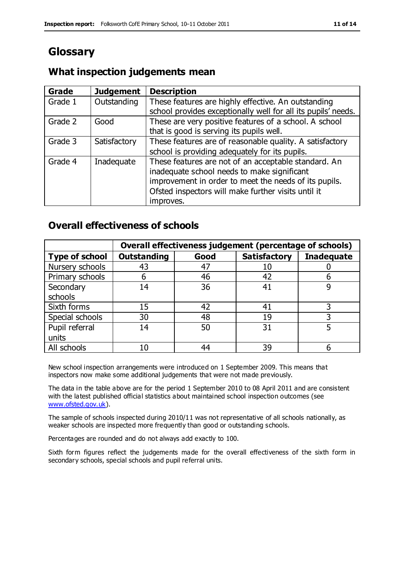# **Glossary**

## **What inspection judgements mean**

| Grade   | <b>Judgement</b> | <b>Description</b>                                            |
|---------|------------------|---------------------------------------------------------------|
| Grade 1 | Outstanding      | These features are highly effective. An outstanding           |
|         |                  | school provides exceptionally well for all its pupils' needs. |
| Grade 2 | Good             | These are very positive features of a school. A school        |
|         |                  | that is good is serving its pupils well.                      |
| Grade 3 | Satisfactory     | These features are of reasonable quality. A satisfactory      |
|         |                  | school is providing adequately for its pupils.                |
| Grade 4 | Inadequate       | These features are not of an acceptable standard. An          |
|         |                  | inadequate school needs to make significant                   |
|         |                  | improvement in order to meet the needs of its pupils.         |
|         |                  | Ofsted inspectors will make further visits until it           |
|         |                  | improves.                                                     |

#### **Overall effectiveness of schools**

|                       |                    |      | Overall effectiveness judgement (percentage of schools) |                   |
|-----------------------|--------------------|------|---------------------------------------------------------|-------------------|
| <b>Type of school</b> | <b>Outstanding</b> | Good | <b>Satisfactory</b>                                     | <b>Inadequate</b> |
| Nursery schools       | 43                 | 47   | 10                                                      |                   |
| Primary schools       | 6                  | 46   | 42                                                      |                   |
| Secondary             | 14                 | 36   | 41                                                      |                   |
| schools               |                    |      |                                                         |                   |
| Sixth forms           | 15                 | 42   | 41                                                      | 3                 |
| Special schools       | 30                 | 48   | 19                                                      |                   |
| Pupil referral        | 14                 | 50   | 31                                                      |                   |
| units                 |                    |      |                                                         |                   |
| All schools           | 10                 | 44   | 39                                                      |                   |

New school inspection arrangements were introduced on 1 September 2009. This means that inspectors now make some additional judgements that were not made previously.

The data in the table above are for the period 1 September 2010 to 08 April 2011 and are consistent with the latest published official statistics about maintained school inspection outcomes (see [www.ofsted.gov.uk\)](http://www.ofsted.gov.uk/).

The sample of schools inspected during 2010/11 was not representative of all schools nationally, as weaker schools are inspected more frequently than good or outstanding schools.

Percentages are rounded and do not always add exactly to 100.

Sixth form figures reflect the judgements made for the overall effectiveness of the sixth form in secondary schools, special schools and pupil referral units.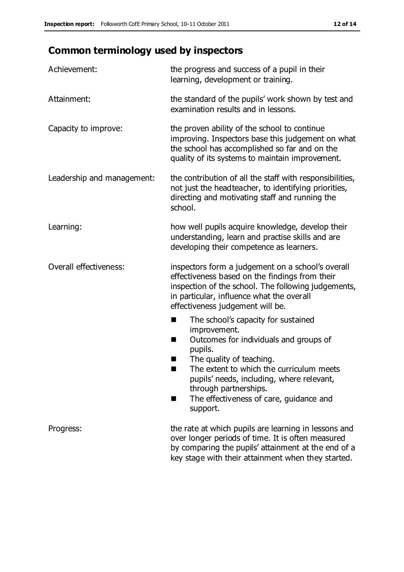# **Common terminology used by inspectors**

| Achievement:                  | the progress and success of a pupil in their<br>learning, development or training.                                                                                                                                                                                                                                           |
|-------------------------------|------------------------------------------------------------------------------------------------------------------------------------------------------------------------------------------------------------------------------------------------------------------------------------------------------------------------------|
| Attainment:                   | the standard of the pupils' work shown by test and<br>examination results and in lessons.                                                                                                                                                                                                                                    |
| Capacity to improve:          | the proven ability of the school to continue<br>improving. Inspectors base this judgement on what<br>the school has accomplished so far and on the<br>quality of its systems to maintain improvement.                                                                                                                        |
| Leadership and management:    | the contribution of all the staff with responsibilities,<br>not just the headteacher, to identifying priorities,<br>directing and motivating staff and running the<br>school.                                                                                                                                                |
| Learning:                     | how well pupils acquire knowledge, develop their<br>understanding, learn and practise skills and are<br>developing their competence as learners.                                                                                                                                                                             |
| <b>Overall effectiveness:</b> | inspectors form a judgement on a school's overall<br>effectiveness based on the findings from their<br>inspection of the school. The following judgements,<br>in particular, influence what the overall<br>effectiveness judgement will be.                                                                                  |
|                               | The school's capacity for sustained<br>×<br>improvement.<br>Outcomes for individuals and groups of<br>п<br>pupils.<br>The quality of teaching.<br>The extent to which the curriculum meets<br>pupils' needs, including, where relevant,<br>through partnerships.<br>The effectiveness of care, guidance and<br>■<br>support. |
| Progress:                     | the rate at which pupils are learning in lessons and<br>over longer periods of time. It is often measured<br>by comparing the pupils' attainment at the end of a<br>key stage with their attainment when they started.                                                                                                       |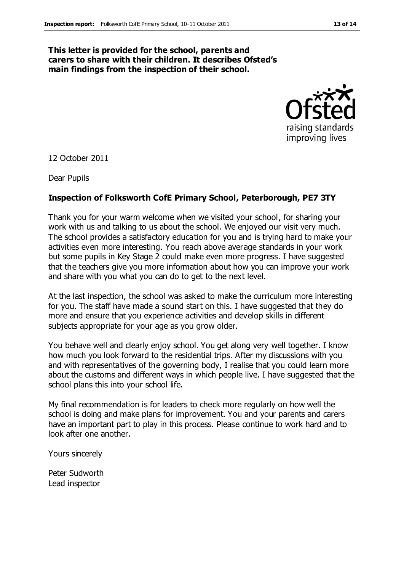#### **This letter is provided for the school, parents and carers to share with their children. It describes Ofsted's main findings from the inspection of their school.**



12 October 2011

Dear Pupils

#### **Inspection of Folksworth CofE Primary School, Peterborough, PE7 3TY**

Thank you for your warm welcome when we visited your school, for sharing your work with us and talking to us about the school. We enjoyed our visit very much. The school provides a satisfactory education for you and is trying hard to make your activities even more interesting. You reach above average standards in your work but some pupils in Key Stage 2 could make even more progress. I have suggested that the teachers give you more information about how you can improve your work and share with you what you can do to get to the next level.

At the last inspection, the school was asked to make the curriculum more interesting for you. The staff have made a sound start on this. I have suggested that they do more and ensure that you experience activities and develop skills in different subjects appropriate for your age as you grow older.

You behave well and clearly enjoy school. You get along very well together. I know how much you look forward to the residential trips. After my discussions with you and with representatives of the governing body, I realise that you could learn more about the customs and different ways in which people live. I have suggested that the school plans this into your school life.

My final recommendation is for leaders to check more regularly on how well the school is doing and make plans for improvement. You and your parents and carers have an important part to play in this process. Please continue to work hard and to look after one another.

Yours sincerely

Peter Sudworth Lead inspector